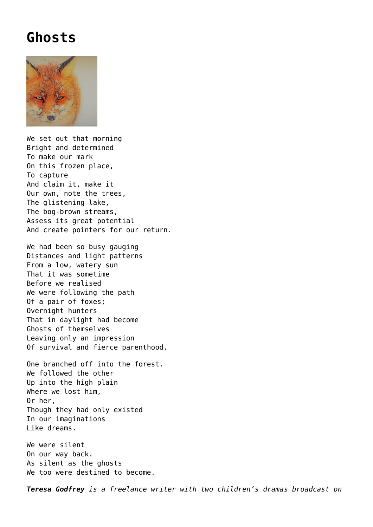## **[Ghosts](https://corncrakemagazine.com/article/ghosts/)**



We set out that morning Bright and determined To make our mark On this frozen place, To capture And claim it, make it Our own, note the trees, The glistening lake, The bog-brown streams, Assess its great potential And create pointers for our return.

We had been so busy gauging Distances and light patterns From a low, watery sun That it was sometime Before we realised We were following the path Of a pair of foxes; Overnight hunters That in daylight had become Ghosts of themselves Leaving only an impression Of survival and fierce parenthood.

One branched off into the forest. We followed the other Up into the high plain Where we lost him, Or her, Though they had only existed In our imaginations Like dreams.

We were silent On our way back. As silent as the ghosts We too were destined to become.

*Teresa Godfrey is a freelance writer with two children's dramas broadcast on*